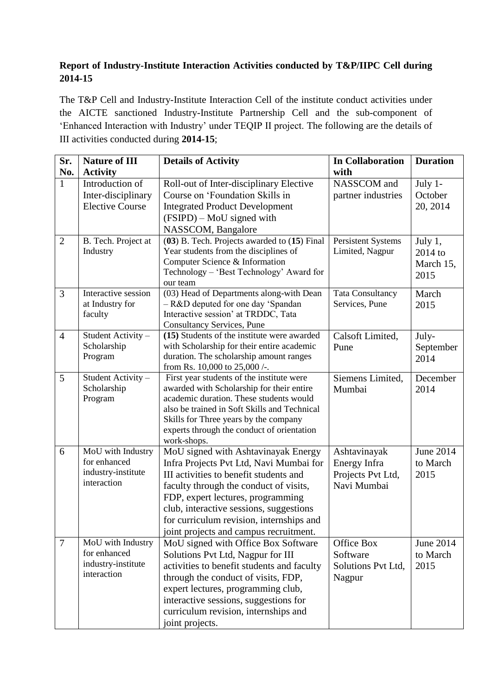## **Report of Industry-Institute Interaction Activities conducted by T&P/IIPC Cell during 2014-15**

The T&P Cell and Industry-Institute Interaction Cell of the institute conduct activities under the AICTE sanctioned Industry-Institute Partnership Cell and the sub-component of 'Enhanced Interaction with Industry' under TEQIP II project. The following are the details of III activities conducted during **2014-15**;

| Sr.            | <b>Nature of III</b>                                                   | <b>Details of Activity</b>                                                                                                                                                                                                                                                                                                               | <b>In Collaboration</b>                                          | <b>Duration</b>                           |
|----------------|------------------------------------------------------------------------|------------------------------------------------------------------------------------------------------------------------------------------------------------------------------------------------------------------------------------------------------------------------------------------------------------------------------------------|------------------------------------------------------------------|-------------------------------------------|
| No.            | <b>Activity</b>                                                        |                                                                                                                                                                                                                                                                                                                                          | with                                                             |                                           |
| $\mathbf{1}$   | Introduction of<br>Inter-disciplinary<br><b>Elective Course</b>        | Roll-out of Inter-disciplinary Elective<br>Course on 'Foundation Skills in<br><b>Integrated Product Development</b><br>(FSIPD) – MoU signed with<br>NASSCOM, Bangalore                                                                                                                                                                   | NASSCOM and<br>partner industries                                | July 1-<br>October<br>20, 2014            |
| $\overline{2}$ | B. Tech. Project at<br>Industry                                        | (03) B. Tech. Projects awarded to (15) Final<br>Year students from the disciplines of<br>Computer Science & Information<br>Technology - 'Best Technology' Award for<br>our team                                                                                                                                                          | Persistent Systems<br>Limited, Nagpur                            | July 1,<br>$2014$ to<br>March 15,<br>2015 |
| 3              | Interactive session<br>at Industry for<br>faculty                      | (03) Head of Departments along-with Dean<br>- R&D deputed for one day 'Spandan<br>Interactive session' at TRDDC, Tata<br><b>Consultancy Services, Pune</b>                                                                                                                                                                               | <b>Tata Consultancy</b><br>Services, Pune                        | March<br>2015                             |
| $\overline{4}$ | Student Activity -<br>Scholarship<br>Program                           | (15) Students of the institute were awarded<br>with Scholarship for their entire academic<br>duration. The scholarship amount ranges<br>from Rs. 10,000 to 25,000 /-.                                                                                                                                                                    | Calsoft Limited,<br>Pune                                         | July-<br>September<br>2014                |
| 5              | Student Activity -<br>Scholarship<br>Program                           | First year students of the institute were<br>awarded with Scholarship for their entire<br>academic duration. These students would<br>also be trained in Soft Skills and Technical<br>Skills for Three years by the company<br>experts through the conduct of orientation<br>work-shops.                                                  | Siemens Limited,<br>Mumbai                                       | December<br>2014                          |
| 6              | MoU with Industry<br>for enhanced<br>industry-institute<br>interaction | MoU signed with Ashtavinayak Energy<br>Infra Projects Pvt Ltd, Navi Mumbai for<br>III activities to benefit students and<br>faculty through the conduct of visits,<br>FDP, expert lectures, programming<br>club, interactive sessions, suggestions<br>for curriculum revision, internships and<br>joint projects and campus recruitment. | Ashtavinayak<br>Energy Infra<br>Projects Pvt Ltd,<br>Navi Mumbai | <b>June 2014</b><br>to March<br>2015      |
| $\tau$         | MoU with Industry<br>for enhanced<br>industry-institute<br>interaction | MoU signed with Office Box Software<br>Solutions Pvt Ltd, Nagpur for III<br>activities to benefit students and faculty<br>through the conduct of visits, FDP,<br>expert lectures, programming club,<br>interactive sessions, suggestions for<br>curriculum revision, internships and<br>joint projects.                                  | Office Box<br>Software<br>Solutions Pvt Ltd,<br>Nagpur           | June 2014<br>to March<br>2015             |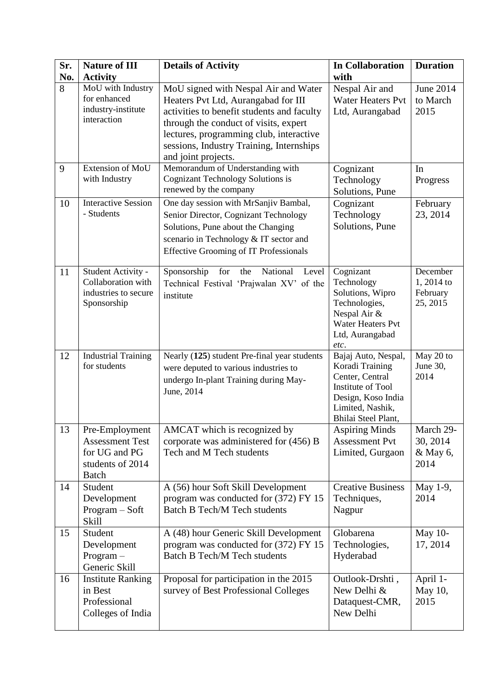| Sr. | <b>Nature of III</b>                                                                          | <b>Details of Activity</b>                                                                                                                                                                                                                                                       | <b>In Collaboration</b>                                                                                                                         | <b>Duration</b>                                |
|-----|-----------------------------------------------------------------------------------------------|----------------------------------------------------------------------------------------------------------------------------------------------------------------------------------------------------------------------------------------------------------------------------------|-------------------------------------------------------------------------------------------------------------------------------------------------|------------------------------------------------|
| No. | <b>Activity</b>                                                                               |                                                                                                                                                                                                                                                                                  | with                                                                                                                                            |                                                |
| 8   | MoU with Industry<br>for enhanced<br>industry-institute<br>interaction                        | MoU signed with Nespal Air and Water<br>Heaters Pvt Ltd, Aurangabad for III<br>activities to benefit students and faculty<br>through the conduct of visits, expert<br>lectures, programming club, interactive<br>sessions, Industry Training, Internships<br>and joint projects. | Nespal Air and<br><b>Water Heaters Pvt</b><br>Ltd, Aurangabad                                                                                   | <b>June 2014</b><br>to March<br>2015           |
| 9   | Extension of MoU<br>with Industry                                                             | Memorandum of Understanding with<br><b>Cognizant Technology Solutions is</b><br>renewed by the company                                                                                                                                                                           | Cognizant<br>Technology<br>Solutions, Pune                                                                                                      | In<br>Progress                                 |
| 10  | <b>Interactive Session</b><br>- Students                                                      | One day session with MrSanjiv Bambal,<br>Senior Director, Cognizant Technology<br>Solutions, Pune about the Changing<br>scenario in Technology & IT sector and<br><b>Effective Grooming of IT Professionals</b>                                                                  | Cognizant<br>Technology<br>Solutions, Pune                                                                                                      | February<br>23, 2014                           |
| 11  | Student Activity -<br>Collaboration with<br>industries to secure<br>Sponsorship               | Sponsorship<br>for<br>National<br>the<br>Level<br>Technical Festival 'Prajwalan XV' of the<br>institute                                                                                                                                                                          | Cognizant<br>Technology<br>Solutions, Wipro<br>Technologies,<br>Nespal Air &<br><b>Water Heaters Pvt</b><br>Ltd, Aurangabad<br>etc.             | December<br>1, 2014 to<br>February<br>25, 2015 |
| 12  | <b>Industrial Training</b><br>for students                                                    | Nearly (125) student Pre-final year students<br>were deputed to various industries to<br>undergo In-plant Training during May-<br>June, 2014                                                                                                                                     | Bajaj Auto, Nespal,<br>Koradi Training<br>Center, Central<br>Institute of Tool<br>Design, Koso India<br>Limited, Nashik,<br>Bhilai Steel Plant, | May 20 to<br>June 30,<br>2014                  |
| 13  | Pre-Employment<br><b>Assessment Test</b><br>for UG and PG<br>students of 2014<br><b>Batch</b> | AMCAT which is recognized by<br>corporate was administered for (456) B<br>Tech and M Tech students                                                                                                                                                                               | <b>Aspiring Minds</b><br><b>Assessment Pvt</b><br>Limited, Gurgaon                                                                              | March 29-<br>30, 2014<br>& May 6,<br>2014      |
| 14  | Student<br>Development<br>$Program - Soft$<br>Skill                                           | A (56) hour Soft Skill Development<br>program was conducted for (372) FY 15<br><b>Batch B Tech/M Tech students</b>                                                                                                                                                               | <b>Creative Business</b><br>Techniques,<br>Nagpur                                                                                               | May 1-9,<br>2014                               |
| 15  | Student<br>Development<br>$Program -$<br>Generic Skill                                        | A (48) hour Generic Skill Development<br>program was conducted for (372) FY 15<br><b>Batch B Tech/M Tech students</b>                                                                                                                                                            | Globarena<br>Technologies,<br>Hyderabad                                                                                                         | May 10-<br>17, 2014                            |
| 16  | <b>Institute Ranking</b><br>in Best<br>Professional<br>Colleges of India                      | Proposal for participation in the 2015<br>survey of Best Professional Colleges                                                                                                                                                                                                   | Outlook-Drshti,<br>New Delhi &<br>Dataquest-CMR,<br>New Delhi                                                                                   | April 1-<br>May 10,<br>2015                    |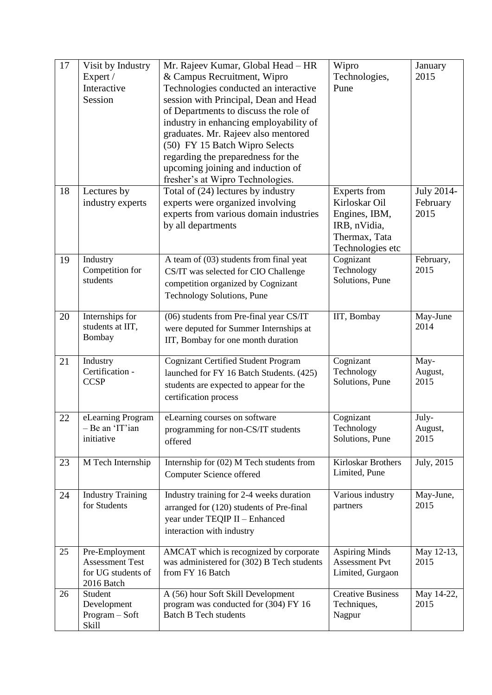| 17 | Visit by Industry<br>Expert /<br>Interactive<br>Session                      | Mr. Rajeev Kumar, Global Head - HR<br>& Campus Recruitment, Wipro<br>Technologies conducted an interactive<br>session with Principal, Dean and Head<br>of Departments to discuss the role of<br>industry in enhancing employability of<br>graduates. Mr. Rajeev also mentored<br>(50) FY 15 Batch Wipro Selects<br>regarding the preparedness for the<br>upcoming joining and induction of<br>fresher's at Wipro Technologies. | Wipro<br>Technologies,<br>Pune                                                                             | January<br>2015                |
|----|------------------------------------------------------------------------------|--------------------------------------------------------------------------------------------------------------------------------------------------------------------------------------------------------------------------------------------------------------------------------------------------------------------------------------------------------------------------------------------------------------------------------|------------------------------------------------------------------------------------------------------------|--------------------------------|
| 18 | Lectures by<br>industry experts                                              | Total of (24) lectures by industry<br>experts were organized involving<br>experts from various domain industries<br>by all departments                                                                                                                                                                                                                                                                                         | <b>Experts</b> from<br>Kirloskar Oil<br>Engines, IBM,<br>IRB, nVidia,<br>Thermax, Tata<br>Technologies etc | July 2014-<br>February<br>2015 |
| 19 | Industry<br>Competition for<br>students                                      | A team of (03) students from final yeat<br>CS/IT was selected for CIO Challenge<br>competition organized by Cognizant<br>Technology Solutions, Pune                                                                                                                                                                                                                                                                            | Cognizant<br>Technology<br>Solutions, Pune                                                                 | February,<br>2015              |
| 20 | Internships for<br>students at IIT,<br>Bombay                                | (06) students from Pre-final year CS/IT<br>were deputed for Summer Internships at<br>IIT, Bombay for one month duration                                                                                                                                                                                                                                                                                                        | IIT, Bombay                                                                                                | May-June<br>2014               |
| 21 | Industry<br>Certification -<br><b>CCSP</b>                                   | <b>Cognizant Certified Student Program</b><br>launched for FY 16 Batch Students. (425)<br>students are expected to appear for the<br>certification process                                                                                                                                                                                                                                                                     | Cognizant<br>Technology<br>Solutions, Pune                                                                 | May-<br>August,<br>2015        |
| 22 | eLearning Program<br>Be an 'IT'ian<br>initiative                             | eLearning courses on software<br>programming for non-CS/IT students<br>offered                                                                                                                                                                                                                                                                                                                                                 | Cognizant<br>Technology<br>Solutions, Pune                                                                 | July-<br>August,<br>2015       |
| 23 | M Tech Internship                                                            | Internship for (02) M Tech students from<br>Computer Science offered                                                                                                                                                                                                                                                                                                                                                           | Kirloskar Brothers<br>Limited, Pune                                                                        | July, 2015                     |
| 24 | <b>Industry Training</b><br>for Students                                     | Industry training for 2-4 weeks duration<br>arranged for (120) students of Pre-final<br>year under TEQIP II - Enhanced<br>interaction with industry                                                                                                                                                                                                                                                                            | Various industry<br>partners                                                                               | May-June,<br>2015              |
| 25 | Pre-Employment<br><b>Assessment Test</b><br>for UG students of<br>2016 Batch | AMCAT which is recognized by corporate<br>was administered for (302) B Tech students<br>from FY 16 Batch                                                                                                                                                                                                                                                                                                                       | <b>Aspiring Minds</b><br><b>Assessment Pvt</b><br>Limited, Gurgaon                                         | May 12-13,<br>2015             |
| 26 | Student<br>Development<br>Program - Soft<br><b>Skill</b>                     | A (56) hour Soft Skill Development<br>program was conducted for (304) FY 16<br><b>Batch B Tech students</b>                                                                                                                                                                                                                                                                                                                    | <b>Creative Business</b><br>Techniques,<br>Nagpur                                                          | May 14-22,<br>2015             |